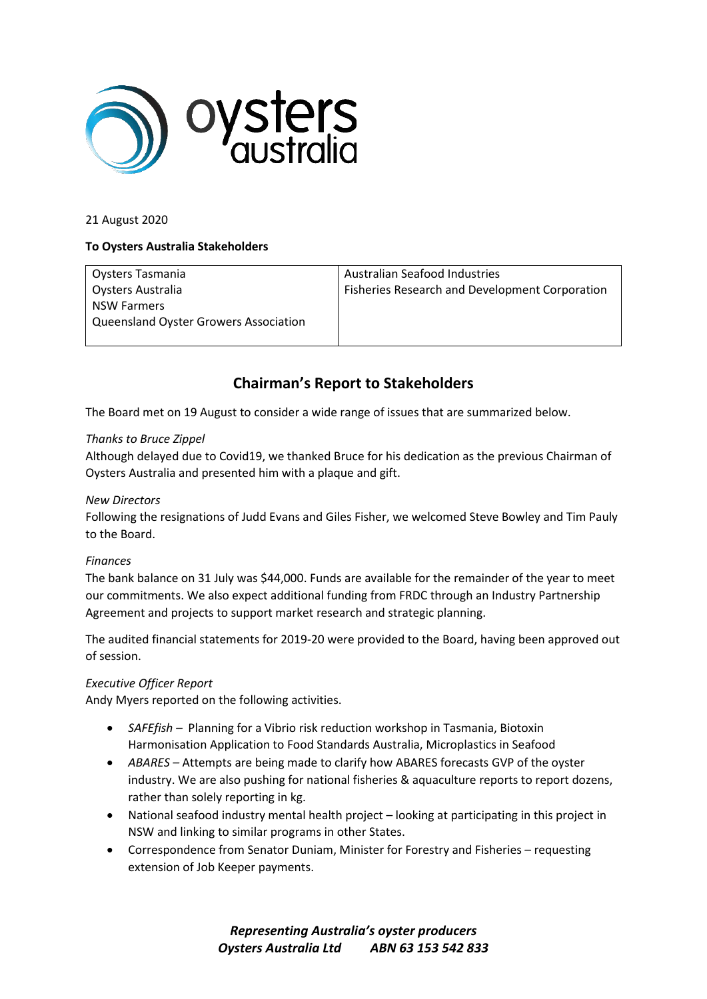

#### 21 August 2020

#### **To Oysters Australia Stakeholders**

|                                              | Australian Seafood Industries                         |
|----------------------------------------------|-------------------------------------------------------|
| Oysters Tasmania                             |                                                       |
| Oysters Australia                            | <b>Fisheries Research and Development Corporation</b> |
| <b>NSW Farmers</b>                           |                                                       |
| <b>Queensland Oyster Growers Association</b> |                                                       |
|                                              |                                                       |

# **Chairman's Report to Stakeholders**

The Board met on 19 August to consider a wide range of issues that are summarized below.

#### *Thanks to Bruce Zippel*

Although delayed due to Covid19, we thanked Bruce for his dedication as the previous Chairman of Oysters Australia and presented him with a plaque and gift.

#### *New Directors*

Following the resignations of Judd Evans and Giles Fisher, we welcomed Steve Bowley and Tim Pauly to the Board.

#### *Finances*

The bank balance on 31 July was \$44,000. Funds are available for the remainder of the year to meet our commitments. We also expect additional funding from FRDC through an Industry Partnership Agreement and projects to support market research and strategic planning.

The audited financial statements for 2019-20 were provided to the Board, having been approved out of session.

# *Executive Officer Report*

Andy Myers reported on the following activities.

- *SAFEfish –* Planning for a Vibrio risk reduction workshop in Tasmania, Biotoxin Harmonisation Application to Food Standards Australia, Microplastics in Seafood
- *ABARES –* Attempts are being made to clarify how ABARES forecasts GVP of the oyster industry. We are also pushing for national fisheries & aquaculture reports to report dozens, rather than solely reporting in kg.
- National seafood industry mental health project looking at participating in this project in NSW and linking to similar programs in other States.
- Correspondence from Senator Duniam, Minister for Forestry and Fisheries requesting extension of Job Keeper payments.

*Representing Australia's oyster producers Oysters Australia Ltd ABN 63 153 542 833*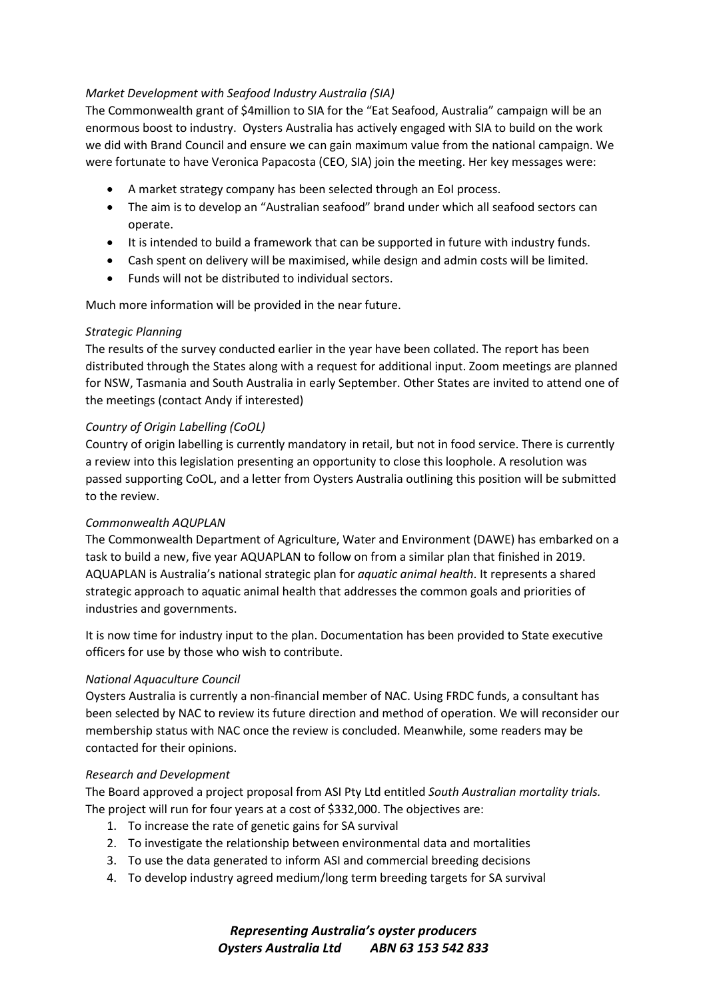# *Market Development with Seafood Industry Australia (SIA)*

The Commonwealth grant of \$4million to SIA for the "Eat Seafood, Australia" campaign will be an enormous boost to industry. Oysters Australia has actively engaged with SIA to build on the work we did with Brand Council and ensure we can gain maximum value from the national campaign. We were fortunate to have Veronica Papacosta (CEO, SIA) join the meeting. Her key messages were:

- A market strategy company has been selected through an EoI process.
- The aim is to develop an "Australian seafood" brand under which all seafood sectors can operate.
- It is intended to build a framework that can be supported in future with industry funds.
- Cash spent on delivery will be maximised, while design and admin costs will be limited.
- Funds will not be distributed to individual sectors.

Much more information will be provided in the near future.

# *Strategic Planning*

The results of the survey conducted earlier in the year have been collated. The report has been distributed through the States along with a request for additional input. Zoom meetings are planned for NSW, Tasmania and South Australia in early September. Other States are invited to attend one of the meetings (contact Andy if interested)

# *Country of Origin Labelling (CoOL)*

Country of origin labelling is currently mandatory in retail, but not in food service. There is currently a review into this legislation presenting an opportunity to close this loophole. A resolution was passed supporting CoOL, and a letter from Oysters Australia outlining this position will be submitted to the review.

# *Commonwealth AQUPLAN*

The Commonwealth Department of Agriculture, Water and Environment (DAWE) has embarked on a task to build a new, five year AQUAPLAN to follow on from a similar plan that finished in 2019. AQUAPLAN is Australia's national strategic plan for *aquatic animal health*. It represents a shared strategic approach to aquatic animal health that addresses the common goals and priorities of industries and governments.

It is now time for industry input to the plan. Documentation has been provided to State executive officers for use by those who wish to contribute.

# *National Aquaculture Council*

Oysters Australia is currently a non-financial member of NAC. Using FRDC funds, a consultant has been selected by NAC to review its future direction and method of operation. We will reconsider our membership status with NAC once the review is concluded. Meanwhile, some readers may be contacted for their opinions.

# *Research and Development*

The Board approved a project proposal from ASI Pty Ltd entitled *South Australian mortality trials.*  The project will run for four years at a cost of \$332,000. The objectives are:

- 1. To increase the rate of genetic gains for SA survival
- 2. To investigate the relationship between environmental data and mortalities
- 3. To use the data generated to inform ASI and commercial breeding decisions
- 4. To develop industry agreed medium/long term breeding targets for SA survival

*Representing Australia's oyster producers Oysters Australia Ltd ABN 63 153 542 833*